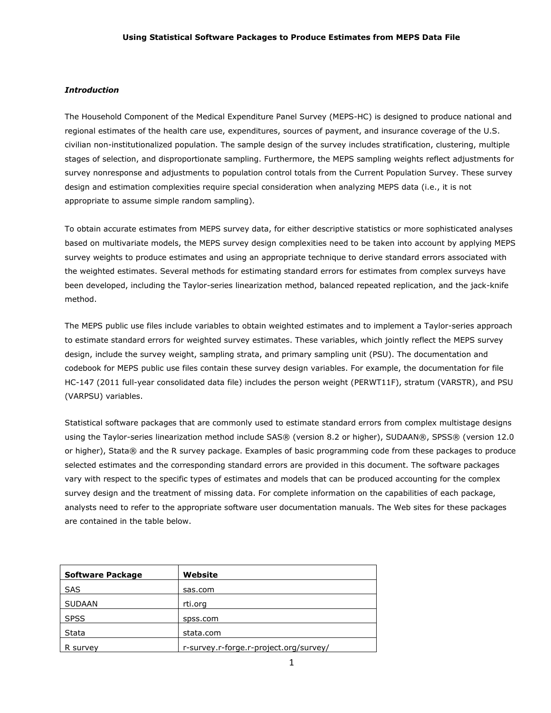#### *Introduction*

The Household Component of the Medical Expenditure Panel Survey (MEPS-HC) is designed to produce national and regional estimates of the health care use, expenditures, sources of payment, and insurance coverage of the U.S. civilian non-institutionalized population. The sample design of the survey includes stratification, clustering, multiple stages of selection, and disproportionate sampling. Furthermore, the MEPS sampling weights reflect adjustments for survey nonresponse and adjustments to population control totals from the Current Population Survey. These survey design and estimation complexities require special consideration when analyzing MEPS data (i.e., it is not appropriate to assume simple random sampling).

To obtain accurate estimates from MEPS survey data, for either descriptive statistics or more sophisticated analyses based on multivariate models, the MEPS survey design complexities need to be taken into account by applying MEPS survey weights to produce estimates and using an appropriate technique to derive standard errors associated with the weighted estimates. Several methods for estimating standard errors for estimates from complex surveys have been developed, including the Taylor-series linearization method, balanced repeated replication, and the jack-knife method.

The MEPS public use files include variables to obtain weighted estimates and to implement a Taylor-series approach to estimate standard errors for weighted survey estimates. These variables, which jointly reflect the MEPS survey design, include the survey weight, sampling strata, and primary sampling unit (PSU). The documentation and codebook for MEPS public use files contain these survey design variables. For example, the documentation for file HC-147 (2011 full-year consolidated data file) includes the person weight (PERWT11F), stratum (VARSTR), and PSU (VARPSU) variables.

Statistical software packages that are commonly used to estimate standard errors from complex multistage designs using the Taylor-series linearization method include SAS® (version 8.2 or higher), SUDAAN®, SPSS® (version 12.0 or higher), Stata® and the R survey package. Examples of basic programming code from these packages to produce selected estimates and the corresponding standard errors are provided in this document. The software packages vary with respect to the specific types of estimates and models that can be produced accounting for the complex survey design and the treatment of missing data. For complete information on the capabilities of each package, analysts need to refer to the appropriate software user documentation manuals. The Web sites for these packages are contained in the table below.

| Software Package | Website                                |
|------------------|----------------------------------------|
| <b>SAS</b>       | sas.com                                |
| <b>SUDAAN</b>    | rti.org                                |
| <b>SPSS</b>      | spss.com                               |
| Stata            | stata.com                              |
| R survey         | r-survey.r-forge.r-project.org/survey/ |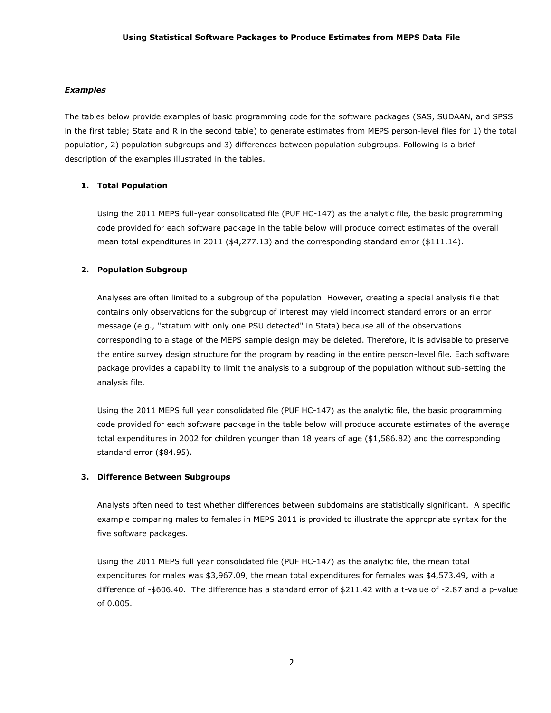#### *Examples*

The tables below provide examples of basic programming code for the software packages (SAS, SUDAAN, and SPSS in the first table; Stata and R in the second table) to generate estimates from MEPS person-level files for 1) the total population, 2) population subgroups and 3) differences between population subgroups. Following is a brief description of the examples illustrated in the tables.

# **1. Total Population**

Using the 2011 MEPS full-year consolidated file (PUF HC-147) as the analytic file, the basic programming code provided for each software package in the table below will produce correct estimates of the overall mean total expenditures in 2011 (\$4,277.13) and the corresponding standard error (\$111.14).

# **2. Population Subgroup**

Analyses are often limited to a subgroup of the population. However, creating a special analysis file that contains only observations for the subgroup of interest may yield incorrect standard errors or an error message (e.g., "stratum with only one PSU detected" in Stata) because all of the observations corresponding to a stage of the MEPS sample design may be deleted. Therefore, it is advisable to preserve the entire survey design structure for the program by reading in the entire person-level file. Each software package provides a capability to limit the analysis to a subgroup of the population without sub-setting the analysis file.

Using the 2011 MEPS full year consolidated file (PUF HC-147) as the analytic file, the basic programming code provided for each software package in the table below will produce accurate estimates of the average total expenditures in 2002 for children younger than 18 years of age (\$1,586.82) and the corresponding standard error (\$84.95).

#### **3. Difference Between Subgroups**

Analysts often need to test whether differences between subdomains are statistically significant. A specific example comparing males to females in MEPS 2011 is provided to illustrate the appropriate syntax for the five software packages.

Using the 2011 MEPS full year consolidated file (PUF HC-147) as the analytic file, the mean total expenditures for males was \$3,967.09, the mean total expenditures for females was \$4,573.49, with a difference of -\$606.40. The difference has a standard error of \$211.42 with a t-value of -2.87 and a p-value of 0.005.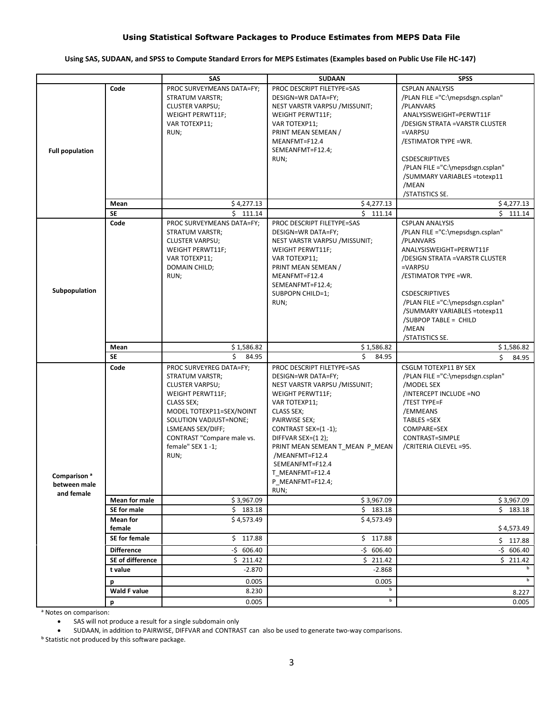# **Using Statistical Software Packages to Produce Estimates from MEPS Data File**

# **Using SAS, SUDAAN, and SPSS to Compute Standard Errors for MEPS Estimates (Examples based on Public Use File HC-147)**

|                                                       |                             | SAS                                                                                                                                                                                                                                         | <b>SUDAAN</b>                                                                                                                                                                                                                                                                                                             | <b>SPSS</b>                                                                                                                                                                                                                                                                                                                |
|-------------------------------------------------------|-----------------------------|---------------------------------------------------------------------------------------------------------------------------------------------------------------------------------------------------------------------------------------------|---------------------------------------------------------------------------------------------------------------------------------------------------------------------------------------------------------------------------------------------------------------------------------------------------------------------------|----------------------------------------------------------------------------------------------------------------------------------------------------------------------------------------------------------------------------------------------------------------------------------------------------------------------------|
| <b>Full population</b>                                | Code                        | PROC SURVEYMEANS DATA=FY;<br>STRATUM VARSTR;<br><b>CLUSTER VARPSU;</b><br>WEIGHT PERWT11F;<br>VAR TOTEXP11;<br>RUN;                                                                                                                         | PROC DESCRIPT FILETYPE=SAS<br>DESIGN=WR DATA=FY;<br>NEST VARSTR VARPSU / MISSUNIT;<br>WEIGHT PERWT11F;<br>VAR TOTEXP11;<br>PRINT MEAN SEMEAN /<br>MEANFMT=F12.4<br>SEMEANFMT=F12.4;<br>RUN;                                                                                                                               | <b>CSPLAN ANALYSIS</b><br>/PLAN FILE ="C:\mepsdsgn.csplan"<br>/PLANVARS<br>ANALYSISWEIGHT=PERWT11F<br>/DESIGN STRATA =VARSTR CLUSTER<br>=VARPSU<br>/ESTIMATOR TYPE =WR.<br><b>CSDESCRIPTIVES</b><br>/PLAN FILE ="C:\mepsdsgn.csplan"<br>/SUMMARY VARIABLES =totexp11<br>/MEAN<br>/STATISTICS SE.                           |
|                                                       | Mean                        | \$4,277.13                                                                                                                                                                                                                                  | \$4,277.13                                                                                                                                                                                                                                                                                                                | \$4,277.13                                                                                                                                                                                                                                                                                                                 |
|                                                       | <b>SE</b>                   | \$111.14                                                                                                                                                                                                                                    | \$111.14                                                                                                                                                                                                                                                                                                                  | \$111.14                                                                                                                                                                                                                                                                                                                   |
| Code<br>Subpopulation                                 |                             | PROC SURVEYMEANS DATA=FY;<br>STRATUM VARSTR;<br><b>CLUSTER VARPSU;</b><br>WEIGHT PERWT11F;<br>VAR TOTEXP11;<br>DOMAIN CHILD;<br>RUN;                                                                                                        | PROC DESCRIPT FILETYPE=SAS<br>DESIGN=WR DATA=FY;<br>NEST VARSTR VARPSU / MISSUNIT;<br>WEIGHT PERWT11F;<br>VAR TOTEXP11;<br>PRINT MEAN SEMEAN /<br>MEANFMT=F12.4<br>SEMEANFMT=F12.4;<br>SUBPOPN CHILD=1;<br>RUN;                                                                                                           | <b>CSPLAN ANALYSIS</b><br>/PLAN FILE ="C:\mepsdsgn.csplan"<br>/PLANVARS<br>ANALYSISWEIGHT=PERWT11F<br>/DESIGN STRATA = VARSTR CLUSTER<br>=VARPSU<br>/ESTIMATOR TYPE =WR.<br><b>CSDESCRIPTIVES</b><br>/PLAN FILE ="C:\mepsdsgn.csplan"<br>/SUMMARY VARIABLES =totexp11<br>/SUBPOP TABLE = CHILD<br>/MEAN<br>/STATISTICS SE. |
|                                                       | Mean                        | \$1,586.82                                                                                                                                                                                                                                  | \$1,586.82                                                                                                                                                                                                                                                                                                                | \$1,586.82                                                                                                                                                                                                                                                                                                                 |
|                                                       | <b>SE</b>                   | \$<br>84.95                                                                                                                                                                                                                                 | Ś.<br>84.95                                                                                                                                                                                                                                                                                                               | Ś.<br>84.95                                                                                                                                                                                                                                                                                                                |
| Comparison <sup>a</sup><br>between male<br>and female | Code                        | PROC SURVEYREG DATA=FY;<br>STRATUM VARSTR;<br><b>CLUSTER VARPSU;</b><br>WEIGHT PERWT11F;<br>CLASS SEX;<br>MODEL TOTEXP11=SEX/NOINT<br>SOLUTION VADJUST=NONE;<br>LSMEANS SEX/DIFF;<br>CONTRAST "Compare male vs.<br>female" SEX 1-1;<br>RUN; | PROC DESCRIPT FILETYPE=SAS<br>DESIGN=WR DATA=FY;<br>NEST VARSTR VARPSU / MISSUNIT;<br>WEIGHT PERWT11F;<br>VAR TOTEXP11;<br>CLASS SEX;<br>PAIRWISE SEX;<br>CONTRAST SEX=(1-1);<br>DIFFVAR SEX=(12);<br>PRINT MEAN SEMEAN T_MEAN P_MEAN<br>/MEANFMT=F12.4<br>SEMEANFMT=F12.4<br>T MEANFMT=F12.4<br>P_MEANFMT=F12.4;<br>RUN; | CSGLM TOTEXP11 BY SEX<br>/PLAN FILE ="C:\mepsdsgn.csplan"<br>/MODEL SEX<br>/INTERCEPT INCLUDE =NO<br>/TEST TYPE=F<br>/EMMEANS<br>TABLES =SEX<br>COMPARE=SEX<br>CONTRAST=SIMPLE<br>/CRITERIA CILEVEL =95.                                                                                                                   |
|                                                       | Mean for male               | \$3,967.09                                                                                                                                                                                                                                  | \$3,967.09                                                                                                                                                                                                                                                                                                                | \$3,967.09                                                                                                                                                                                                                                                                                                                 |
|                                                       | SE for male                 | \$183.18                                                                                                                                                                                                                                    | \$183.18                                                                                                                                                                                                                                                                                                                  | \$183.18                                                                                                                                                                                                                                                                                                                   |
|                                                       | <b>Mean for</b><br>female   | \$4,573.49                                                                                                                                                                                                                                  | \$4,573.49                                                                                                                                                                                                                                                                                                                | \$4,573.49                                                                                                                                                                                                                                                                                                                 |
|                                                       | SE for female               | \$117.88                                                                                                                                                                                                                                    | \$117.88                                                                                                                                                                                                                                                                                                                  | \$117.88                                                                                                                                                                                                                                                                                                                   |
|                                                       | <b>Difference</b>           | $-5$ 606.40                                                                                                                                                                                                                                 | $-5$ 606.40                                                                                                                                                                                                                                                                                                               | $-5$ 606.40                                                                                                                                                                                                                                                                                                                |
|                                                       | SE of difference<br>t value | \$211.42<br>$-2.870$                                                                                                                                                                                                                        | \$211.42<br>$-2.868$                                                                                                                                                                                                                                                                                                      | \$211.42                                                                                                                                                                                                                                                                                                                   |
|                                                       |                             | 0.005                                                                                                                                                                                                                                       | 0.005                                                                                                                                                                                                                                                                                                                     | b                                                                                                                                                                                                                                                                                                                          |
|                                                       | р<br>Wald F value           | 8.230                                                                                                                                                                                                                                       | b                                                                                                                                                                                                                                                                                                                         |                                                                                                                                                                                                                                                                                                                            |
|                                                       | р                           | 0.005                                                                                                                                                                                                                                       | $\mathbf b$                                                                                                                                                                                                                                                                                                               | 8.227<br>0.005                                                                                                                                                                                                                                                                                                             |

ᵃ Notes on comparison:

SAS will not produce a result for a single subdomain only

SUDAAN, in addition to PAIRWISE, DIFFVAR and CONTRAST can also be used to generate two-way comparisons.

ᵇ Statistic not produced by this software package.